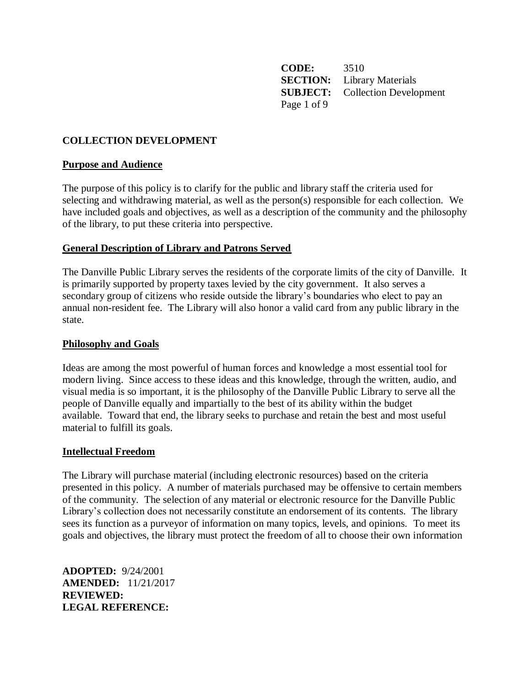**CODE:** 3510 **SECTION:** Library Materials **SUBJECT:** Collection Development Page 1 of 9

## **COLLECTION DEVELOPMENT**

### **Purpose and Audience**

The purpose of this policy is to clarify for the public and library staff the criteria used for selecting and withdrawing material, as well as the person(s) responsible for each collection. We have included goals and objectives, as well as a description of the community and the philosophy of the library, to put these criteria into perspective.

### **General Description of Library and Patrons Served**

The Danville Public Library serves the residents of the corporate limits of the city of Danville. It is primarily supported by property taxes levied by the city government. It also serves a secondary group of citizens who reside outside the library's boundaries who elect to pay an annual non-resident fee. The Library will also honor a valid card from any public library in the state*.*

#### **Philosophy and Goals**

Ideas are among the most powerful of human forces and knowledge a most essential tool for modern living. Since access to these ideas and this knowledge, through the written, audio, and visual media is so important, it is the philosophy of the Danville Public Library to serve all the people of Danville equally and impartially to the best of its ability within the budget available. Toward that end, the library seeks to purchase and retain the best and most useful material to fulfill its goals.

#### **Intellectual Freedom**

The Library will purchase material (including electronic resources) based on the criteria presented in this policy. A number of materials purchased may be offensive to certain members of the community. The selection of any material or electronic resource for the Danville Public Library's collection does not necessarily constitute an endorsement of its contents. The library sees its function as a purveyor of information on many topics, levels, and opinions. To meet its goals and objectives, the library must protect the freedom of all to choose their own information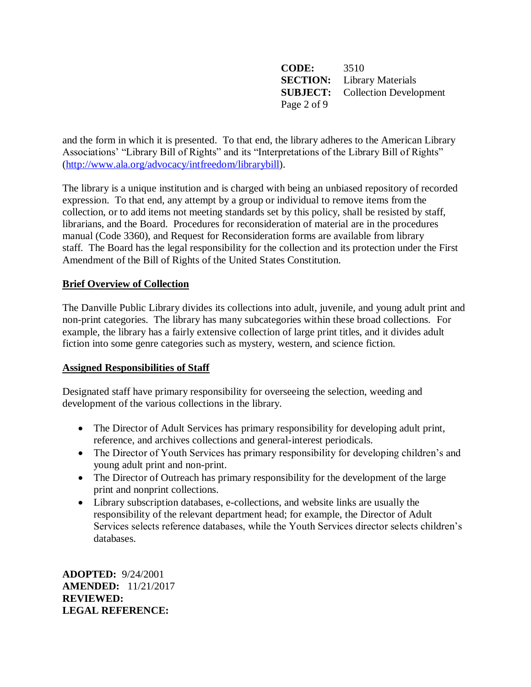**CODE:** 3510 **SECTION:** Library Materials **SUBJECT:** Collection Development Page 2 of 9

and the form in which it is presented. To that end, the library adheres to the American Library Associations' "Library Bill of Rights" and its "Interpretations of the Library Bill of Rights" [\(http://www.ala.org/advocacy/intfreedom/librarybill\)](http://www.ala.org/advocacy/intfreedom/librarybill).

The library is a unique institution and is charged with being an unbiased repository of recorded expression. To that end, any attempt by a group or individual to remove items from the collection, or to add items not meeting standards set by this policy, shall be resisted by staff, librarians, and the Board. Procedures for reconsideration of material are in the procedures manual (Code 3360), and Request for Reconsideration forms are available from library staff. The Board has the legal responsibility for the collection and its protection under the First Amendment of the Bill of Rights of the United States Constitution.

# **Brief Overview of Collection**

The Danville Public Library divides its collections into adult, juvenile, and young adult print and non-print categories. The library has many subcategories within these broad collections. For example, the library has a fairly extensive collection of large print titles, and it divides adult fiction into some genre categories such as mystery, western, and science fiction.

## **Assigned Responsibilities of Staff**

Designated staff have primary responsibility for overseeing the selection, weeding and development of the various collections in the library.

- The Director of Adult Services has primary responsibility for developing adult print, reference, and archives collections and general-interest periodicals.
- The Director of Youth Services has primary responsibility for developing children's and young adult print and non-print.
- The Director of Outreach has primary responsibility for the development of the large print and nonprint collections.
- Library subscription databases, e-collections, and website links are usually the responsibility of the relevant department head; for example, the Director of Adult Services selects reference databases, while the Youth Services director selects children's databases.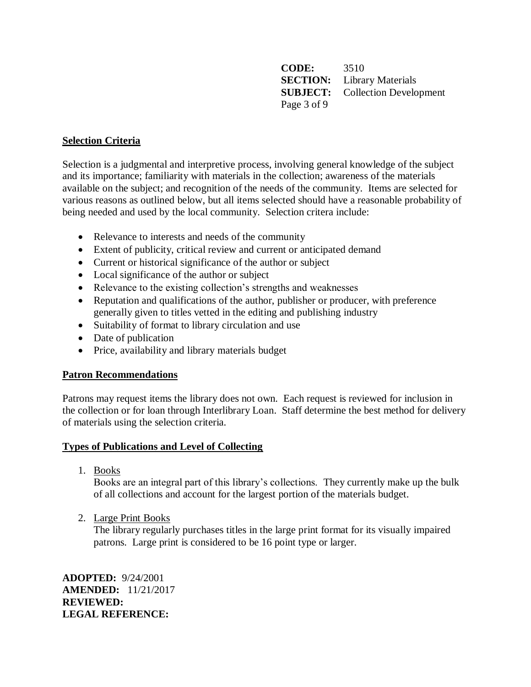**CODE:** 3510 **SECTION:** Library Materials **SUBJECT:** Collection Development Page 3 of 9

# **Selection Criteria**

Selection is a judgmental and interpretive process, involving general knowledge of the subject and its importance; familiarity with materials in the collection; awareness of the materials available on the subject; and recognition of the needs of the community. Items are selected for various reasons as outlined below, but all items selected should have a reasonable probability of being needed and used by the local community. Selection critera include:

- Relevance to interests and needs of the community
- Extent of publicity, critical review and current or anticipated demand
- Current or historical significance of the author or subject
- Local significance of the author or subject
- Relevance to the existing collection's strengths and weaknesses
- Reputation and qualifications of the author, publisher or producer, with preference generally given to titles vetted in the editing and publishing industry
- Suitability of format to library circulation and use
- Date of publication
- Price, availability and library materials budget

## **Patron Recommendations**

Patrons may request items the library does not own. Each request is reviewed for inclusion in the collection or for loan through Interlibrary Loan. Staff determine the best method for delivery of materials using the selection criteria.

## **Types of Publications and Level of Collecting**

1. Books

Books are an integral part of this library's collections. They currently make up the bulk of all collections and account for the largest portion of the materials budget.

2. Large Print Books

The library regularly purchases titles in the large print format for its visually impaired patrons. Large print is considered to be 16 point type or larger.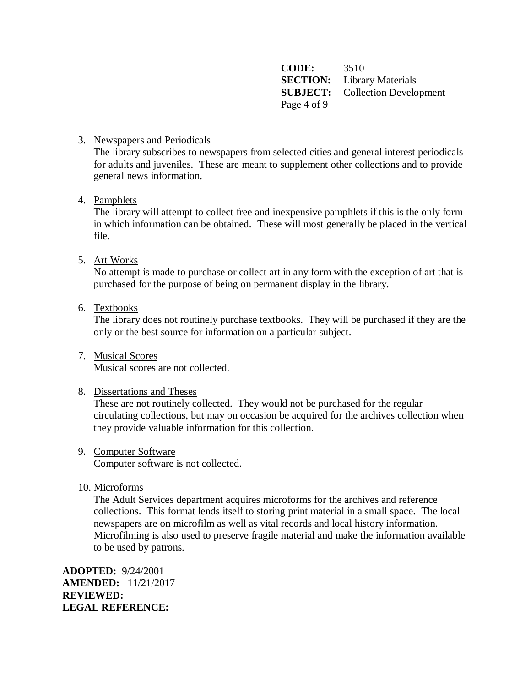**CODE:** 3510 **SECTION:** Library Materials **SUBJECT:** Collection Development Page 4 of 9

## 3. Newspapers and Periodicals

The library subscribes to newspapers from selected cities and general interest periodicals for adults and juveniles. These are meant to supplement other collections and to provide general news information.

### 4. Pamphlets

The library will attempt to collect free and inexpensive pamphlets if this is the only form in which information can be obtained. These will most generally be placed in the vertical file.

## 5. Art Works

No attempt is made to purchase or collect art in any form with the exception of art that is purchased for the purpose of being on permanent display in the library.

### 6. Textbooks

The library does not routinely purchase textbooks. They will be purchased if they are the only or the best source for information on a particular subject.

7. Musical Scores Musical scores are not collected.

#### 8. Dissertations and Theses

These are not routinely collected. They would not be purchased for the regular circulating collections, but may on occasion be acquired for the archives collection when they provide valuable information for this collection.

#### 9. Computer Software

Computer software is not collected.

#### 10. Microforms

The Adult Services department acquires microforms for the archives and reference collections. This format lends itself to storing print material in a small space. The local newspapers are on microfilm as well as vital records and local history information. Microfilming is also used to preserve fragile material and make the information available to be used by patrons.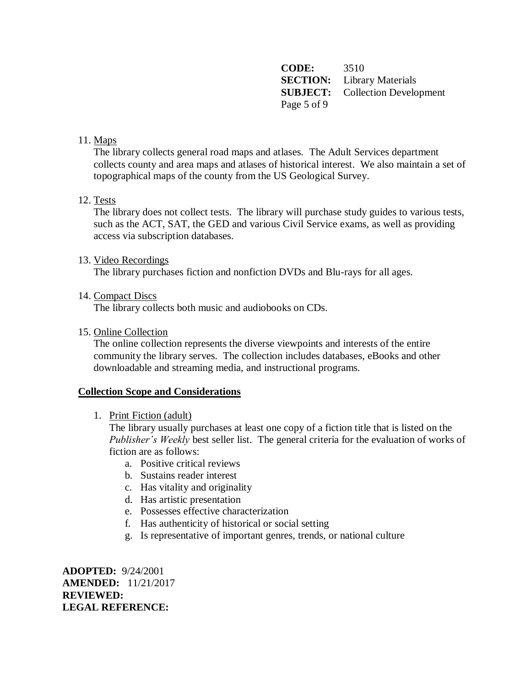**CODE:** 3510 **SECTION:** Library Materials **SUBJECT:** Collection Development Page 5 of 9

## 11. Maps

The library collects general road maps and atlases. The Adult Services department collects county and area maps and atlases of historical interest. We also maintain a set of topographical maps of the county from the US Geological Survey.

### 12. Tests

The library does not collect tests. The library will purchase study guides to various tests, such as the ACT, SAT, the GED and various Civil Service exams, as well as providing access via subscription databases.

#### 13. Video Recordings

The library purchases fiction and nonfiction DVDs and Blu-rays for all ages.

14. Compact Discs

The library collects both music and audiobooks on CDs.

15. Online Collection

The online collection represents the diverse viewpoints and interests of the entire community the library serves. The collection includes databases, eBooks and other downloadable and streaming media, and instructional programs.

#### **Collection Scope and Considerations**

#### 1. Print Fiction (adult)

The library usually purchases at least one copy of a fiction title that is listed on the *Publisher's Weekly* best seller list. The general criteria for the evaluation of works of fiction are as follows:

- a. Positive critical reviews
- b. Sustains reader interest
- c. Has vitality and originality
- d. Has artistic presentation
- e. Possesses effective characterization
- f. Has authenticity of historical or social setting
- g. Is representative of important genres, trends, or national culture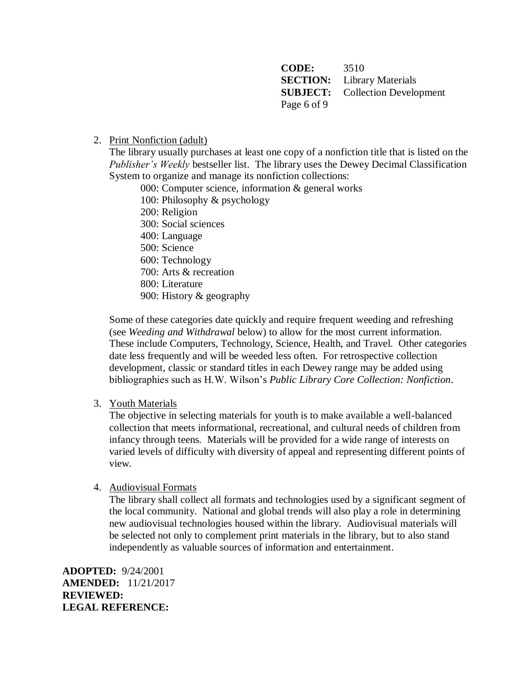**CODE:** 3510 **SECTION:** Library Materials **SUBJECT:** Collection Development Page 6 of 9

### 2. Print Nonfiction (adult)

The library usually purchases at least one copy of a nonfiction title that is listed on the *Publisher's Weekly* bestseller list. The library uses the Dewey Decimal Classification System to organize and manage its nonfiction collections:

000: Computer science, information & general works

100: Philosophy & psychology

200: Religion

300: Social sciences

400: Language

500: Science

600: Technology 700: Arts & recreation

800: Literature

900: History & geography

Some of these categories date quickly and require frequent weeding and refreshing (see *Weeding and Withdrawal* below) to allow for the most current information. These include Computers, Technology, Science, Health, and Travel. Other categories date less frequently and will be weeded less often. For retrospective collection development, classic or standard titles in each Dewey range may be added using bibliographies such as H.W. Wilson's *Public Library Core Collection: Nonfiction*.

3. Youth Materials

The objective in selecting materials for youth is to make available a well-balanced collection that meets informational, recreational, and cultural needs of children from infancy through teens. Materials will be provided for a wide range of interests on varied levels of difficulty with diversity of appeal and representing different points of view*.*

## 4. Audiovisual Formats

The library shall collect all formats and technologies used by a significant segment of the local community. National and global trends will also play a role in determining new audiovisual technologies housed within the library. Audiovisual materials will be selected not only to complement print materials in the library, but to also stand independently as valuable sources of information and entertainment.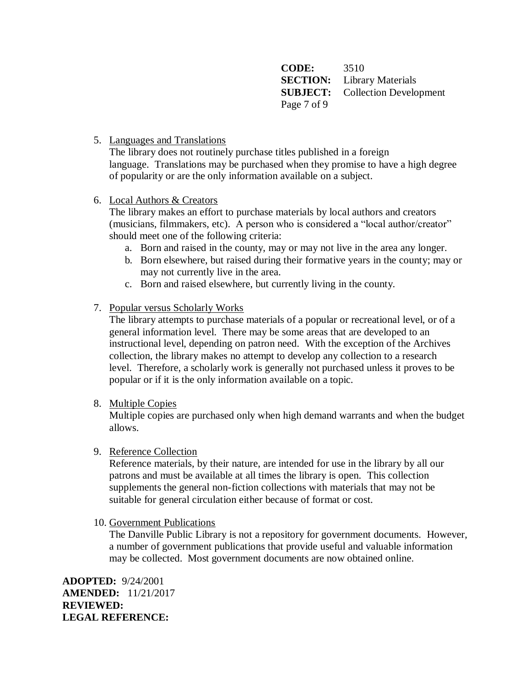**CODE:** 3510 **SECTION:** Library Materials **SUBJECT:** Collection Development Page 7 of 9

5. Languages and Translations

The library does not routinely purchase titles published in a foreign language. Translations may be purchased when they promise to have a high degree of popularity or are the only information available on a subject.

# 6. Local Authors & Creators

The library makes an effort to purchase materials by local authors and creators (musicians, filmmakers, etc). A person who is considered a "local author/creator" should meet one of the following criteria:

- a. Born and raised in the county, may or may not live in the area any longer.
- b. Born elsewhere, but raised during their formative years in the county; may or may not currently live in the area.
- c. Born and raised elsewhere, but currently living in the county.

## 7. Popular versus Scholarly Works

The library attempts to purchase materials of a popular or recreational level, or of a general information level. There may be some areas that are developed to an instructional level, depending on patron need. With the exception of the Archives collection, the library makes no attempt to develop any collection to a research level. Therefore, a scholarly work is generally not purchased unless it proves to be popular or if it is the only information available on a topic.

8. Multiple Copies

Multiple copies are purchased only when high demand warrants and when the budget allows.

## 9. Reference Collection

Reference materials, by their nature, are intended for use in the library by all our patrons and must be available at all times the library is open. This collection supplements the general non-fiction collections with materials that may not be suitable for general circulation either because of format or cost.

10. Government Publications

The Danville Public Library is not a repository for government documents. However, a number of government publications that provide useful and valuable information may be collected. Most government documents are now obtained online.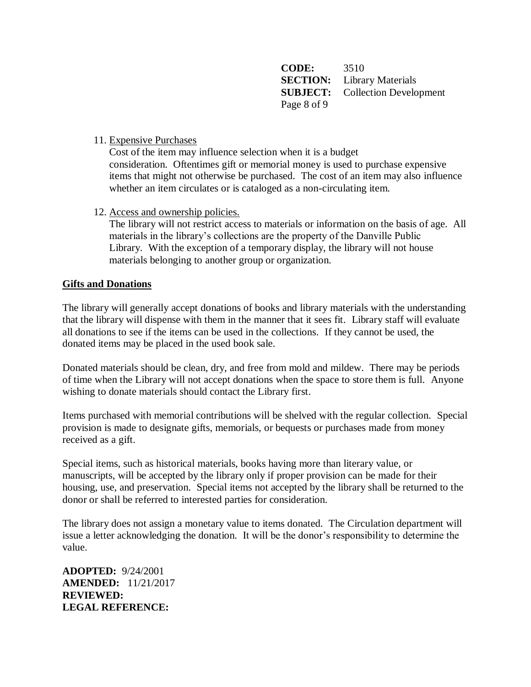**CODE:** 3510 **SECTION:** Library Materials **SUBJECT:** Collection Development Page 8 of 9

11. Expensive Purchases

Cost of the item may influence selection when it is a budget consideration. Oftentimes gift or memorial money is used to purchase expensive items that might not otherwise be purchased. The cost of an item may also influence whether an item circulates or is cataloged as a non-circulating item.

12. Access and ownership policies.

The library will not restrict access to materials or information on the basis of age. All materials in the library's collections are the property of the Danville Public Library. With the exception of a temporary display, the library will not house materials belonging to another group or organization.

### **Gifts and Donations**

The library will generally accept donations of books and library materials with the understanding that the library will dispense with them in the manner that it sees fit. Library staff will evaluate all donations to see if the items can be used in the collections. If they cannot be used, the donated items may be placed in the used book sale.

Donated materials should be clean, dry, and free from mold and mildew. There may be periods of time when the Library will not accept donations when the space to store them is full. Anyone wishing to donate materials should contact the Library first.

Items purchased with memorial contributions will be shelved with the regular collection. Special provision is made to designate gifts, memorials, or bequests or purchases made from money received as a gift.

Special items, such as historical materials, books having more than literary value, or manuscripts, will be accepted by the library only if proper provision can be made for their housing, use, and preservation. Special items not accepted by the library shall be returned to the donor or shall be referred to interested parties for consideration.

The library does not assign a monetary value to items donated. The Circulation department will issue a letter acknowledging the donation. It will be the donor's responsibility to determine the value.